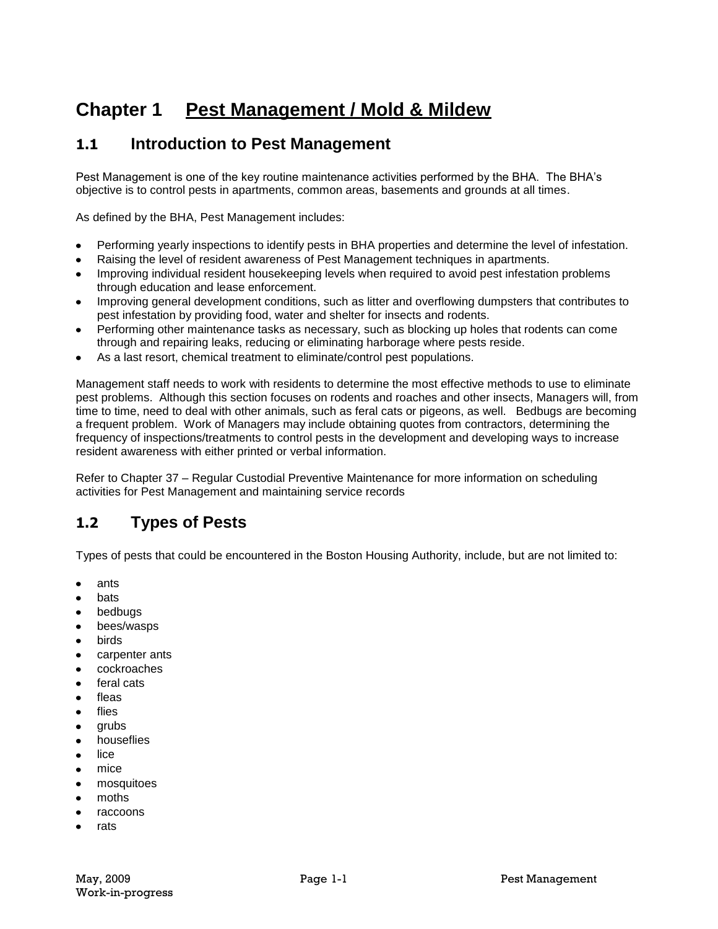# **Chapter 1 Pest Management / Mold & Mildew**

### **1.1 Introduction to Pest Management**

Pest Management is one of the key routine maintenance activities performed by the BHA. The BHA's objective is to control pests in apartments, common areas, basements and grounds at all times.

As defined by the BHA, Pest Management includes:

- Performing yearly inspections to identify pests in BHA properties and determine the level of infestation.
- Raising the level of resident awareness of Pest Management techniques in apartments.
- Improving individual resident housekeeping levels when required to avoid pest infestation problems through education and lease enforcement.
- Improving general development conditions, such as litter and overflowing dumpsters that contributes to  $\bullet$ pest infestation by providing food, water and shelter for insects and rodents.
- Performing other maintenance tasks as necessary, such as blocking up holes that rodents can come through and repairing leaks, reducing or eliminating harborage where pests reside.
- As a last resort, chemical treatment to eliminate/control pest populations.

Management staff needs to work with residents to determine the most effective methods to use to eliminate pest problems. Although this section focuses on rodents and roaches and other insects, Managers will, from time to time, need to deal with other animals, such as feral cats or pigeons, as well. Bedbugs are becoming a frequent problem. Work of Managers may include obtaining quotes from contractors, determining the frequency of inspections/treatments to control pests in the development and developing ways to increase resident awareness with either printed or verbal information.

Refer to Chapter 37 – Regular Custodial Preventive Maintenance for more information on scheduling activities for Pest Management and maintaining service records

# **1.2 Types of Pests**

Types of pests that could be encountered in the Boston Housing Authority, include, but are not limited to:

- ants  $\bullet$
- bats
- bedbugs  $\bullet$
- bees/wasps  $\bullet$
- birds
- carpenter ants  $\bullet$
- cockroaches
- feral cats
- fleas
- flies
- grubs  $\bullet$
- $\bullet$ houseflies
- lice
- mice
- mosquitoes
- moths
- raccoons
- rats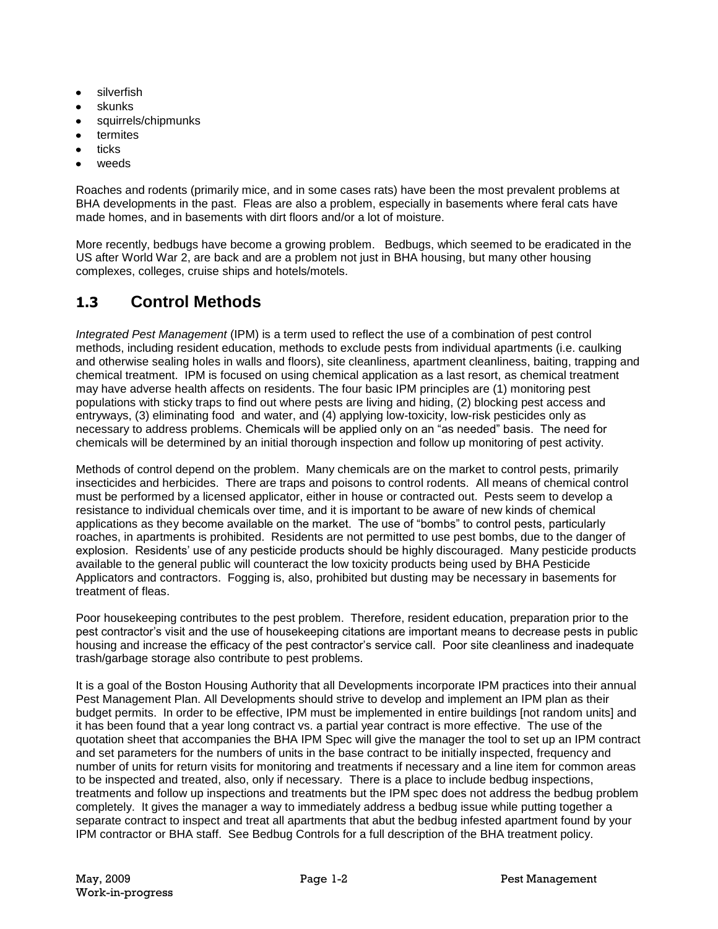- silverfish
- skunks
- squirrels/chipmunks
- termites
- ticks
- weeds

Roaches and rodents (primarily mice, and in some cases rats) have been the most prevalent problems at BHA developments in the past. Fleas are also a problem, especially in basements where feral cats have made homes, and in basements with dirt floors and/or a lot of moisture.

More recently, bedbugs have become a growing problem. Bedbugs, which seemed to be eradicated in the US after World War 2, are back and are a problem not just in BHA housing, but many other housing complexes, colleges, cruise ships and hotels/motels.

# **1.3 Control Methods**

*Integrated Pest Management* (IPM) is a term used to reflect the use of a combination of pest control methods, including resident education, methods to exclude pests from individual apartments (i.e. caulking and otherwise sealing holes in walls and floors), site cleanliness, apartment cleanliness, baiting, trapping and chemical treatment. IPM is focused on using chemical application as a last resort, as chemical treatment may have adverse health affects on residents. The four basic IPM principles are (1) monitoring pest populations with sticky traps to find out where pests are living and hiding, (2) blocking pest access and entryways, (3) eliminating food and water, and (4) applying low-toxicity, low-risk pesticides only as necessary to address problems. Chemicals will be applied only on an "as needed" basis. The need for chemicals will be determined by an initial thorough inspection and follow up monitoring of pest activity.

Methods of control depend on the problem. Many chemicals are on the market to control pests, primarily insecticides and herbicides. There are traps and poisons to control rodents. All means of chemical control must be performed by a licensed applicator, either in house or contracted out. Pests seem to develop a resistance to individual chemicals over time, and it is important to be aware of new kinds of chemical applications as they become available on the market. The use of "bombs" to control pests, particularly roaches, in apartments is prohibited. Residents are not permitted to use pest bombs, due to the danger of explosion. Residents' use of any pesticide products should be highly discouraged. Many pesticide products available to the general public will counteract the low toxicity products being used by BHA Pesticide Applicators and contractors. Fogging is, also, prohibited but dusting may be necessary in basements for treatment of fleas.

Poor housekeeping contributes to the pest problem. Therefore, resident education, preparation prior to the pest contractor's visit and the use of housekeeping citations are important means to decrease pests in public housing and increase the efficacy of the pest contractor's service call. Poor site cleanliness and inadequate trash/garbage storage also contribute to pest problems.

It is a goal of the Boston Housing Authority that all Developments incorporate IPM practices into their annual Pest Management Plan. All Developments should strive to develop and implement an IPM plan as their budget permits. In order to be effective, IPM must be implemented in entire buildings [not random units] and it has been found that a year long contract vs. a partial year contract is more effective. The use of the quotation sheet that accompanies the BHA IPM Spec will give the manager the tool to set up an IPM contract and set parameters for the numbers of units in the base contract to be initially inspected, frequency and number of units for return visits for monitoring and treatments if necessary and a line item for common areas to be inspected and treated, also, only if necessary. There is a place to include bedbug inspections, treatments and follow up inspections and treatments but the IPM spec does not address the bedbug problem completely. It gives the manager a way to immediately address a bedbug issue while putting together a separate contract to inspect and treat all apartments that abut the bedbug infested apartment found by your IPM contractor or BHA staff. See Bedbug Controls for a full description of the BHA treatment policy.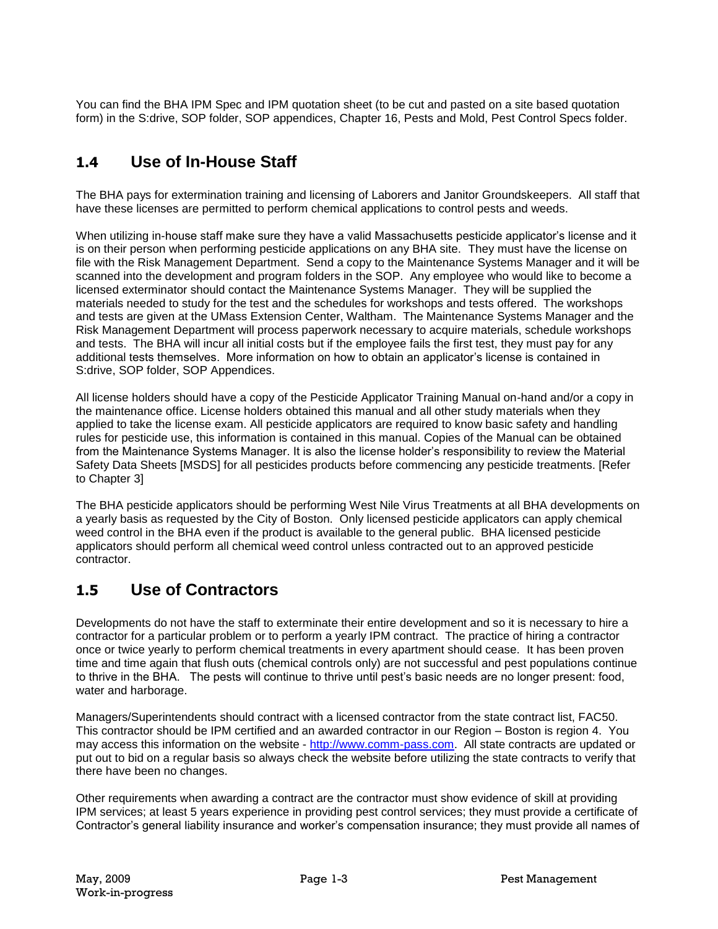You can find the BHA IPM Spec and IPM quotation sheet (to be cut and pasted on a site based quotation form) in the S:drive, SOP folder, SOP appendices, Chapter 16, Pests and Mold, Pest Control Specs folder.

## **1.4 Use of In-House Staff**

The BHA pays for extermination training and licensing of Laborers and Janitor Groundskeepers. All staff that have these licenses are permitted to perform chemical applications to control pests and weeds.

When utilizing in-house staff make sure they have a valid Massachusetts pesticide applicator's license and it is on their person when performing pesticide applications on any BHA site. They must have the license on file with the Risk Management Department. Send a copy to the Maintenance Systems Manager and it will be scanned into the development and program folders in the SOP. Any employee who would like to become a licensed exterminator should contact the Maintenance Systems Manager. They will be supplied the materials needed to study for the test and the schedules for workshops and tests offered. The workshops and tests are given at the UMass Extension Center, Waltham. The Maintenance Systems Manager and the Risk Management Department will process paperwork necessary to acquire materials, schedule workshops and tests. The BHA will incur all initial costs but if the employee fails the first test, they must pay for any additional tests themselves. More information on how to obtain an applicator's license is contained in S:drive, SOP folder, SOP Appendices.

All license holders should have a copy of the Pesticide Applicator Training Manual on-hand and/or a copy in the maintenance office. License holders obtained this manual and all other study materials when they applied to take the license exam. All pesticide applicators are required to know basic safety and handling rules for pesticide use, this information is contained in this manual. Copies of the Manual can be obtained from the Maintenance Systems Manager. It is also the license holder's responsibility to review the Material Safety Data Sheets [MSDS] for all pesticides products before commencing any pesticide treatments. [Refer to Chapter 3]

The BHA pesticide applicators should be performing West Nile Virus Treatments at all BHA developments on a yearly basis as requested by the City of Boston. Only licensed pesticide applicators can apply chemical weed control in the BHA even if the product is available to the general public. BHA licensed pesticide applicators should perform all chemical weed control unless contracted out to an approved pesticide contractor.

### **1.5 Use of Contractors**

Developments do not have the staff to exterminate their entire development and so it is necessary to hire a contractor for a particular problem or to perform a yearly IPM contract. The practice of hiring a contractor once or twice yearly to perform chemical treatments in every apartment should cease. It has been proven time and time again that flush outs (chemical controls only) are not successful and pest populations continue to thrive in the BHA. The pests will continue to thrive until pest's basic needs are no longer present: food, water and harborage.

Managers/Superintendents should contract with a licensed contractor from the state contract list, FAC50. This contractor should be IPM certified and an awarded contractor in our Region – Boston is region 4. You may access this information on the website - [http://www.comm-pass.com.](http://www.comm-pass.com/) All state contracts are updated or put out to bid on a regular basis so always check the website before utilizing the state contracts to verify that there have been no changes.

Other requirements when awarding a contract are the contractor must show evidence of skill at providing IPM services; at least 5 years experience in providing pest control services; they must provide a certificate of Contractor's general liability insurance and worker's compensation insurance; they must provide all names of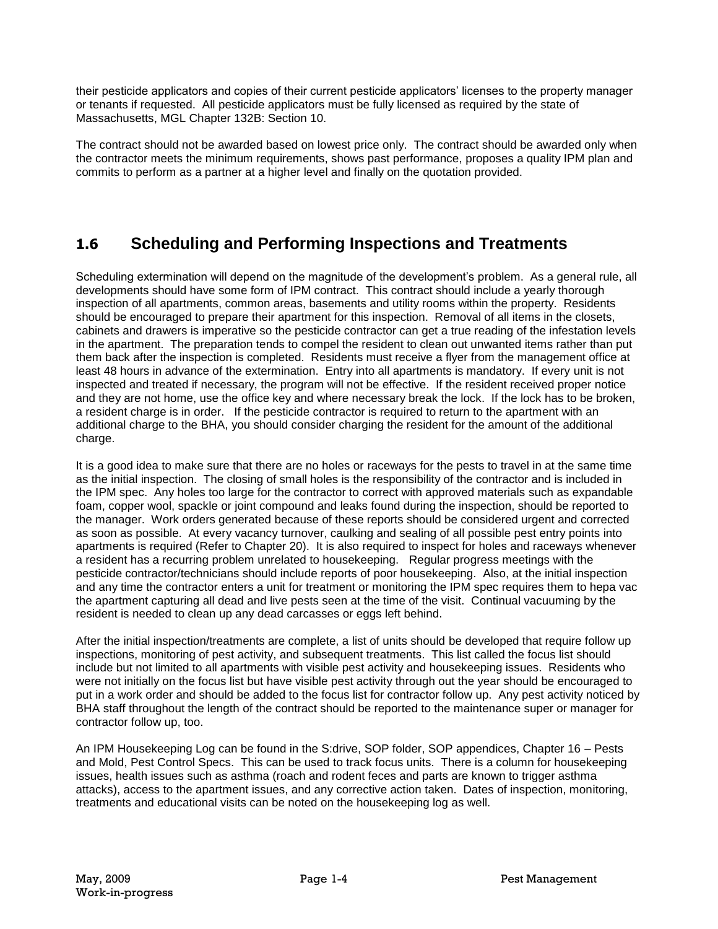their pesticide applicators and copies of their current pesticide applicators' licenses to the property manager or tenants if requested. All pesticide applicators must be fully licensed as required by the state of Massachusetts, MGL Chapter 132B: Section 10.

The contract should not be awarded based on lowest price only. The contract should be awarded only when the contractor meets the minimum requirements, shows past performance, proposes a quality IPM plan and commits to perform as a partner at a higher level and finally on the quotation provided.

# **1.6 Scheduling and Performing Inspections and Treatments**

Scheduling extermination will depend on the magnitude of the development's problem. As a general rule, all developments should have some form of IPM contract. This contract should include a yearly thorough inspection of all apartments, common areas, basements and utility rooms within the property. Residents should be encouraged to prepare their apartment for this inspection. Removal of all items in the closets, cabinets and drawers is imperative so the pesticide contractor can get a true reading of the infestation levels in the apartment. The preparation tends to compel the resident to clean out unwanted items rather than put them back after the inspection is completed. Residents must receive a flyer from the management office at least 48 hours in advance of the extermination. Entry into all apartments is mandatory. If every unit is not inspected and treated if necessary, the program will not be effective. If the resident received proper notice and they are not home, use the office key and where necessary break the lock. If the lock has to be broken, a resident charge is in order. If the pesticide contractor is required to return to the apartment with an additional charge to the BHA, you should consider charging the resident for the amount of the additional charge.

It is a good idea to make sure that there are no holes or raceways for the pests to travel in at the same time as the initial inspection. The closing of small holes is the responsibility of the contractor and is included in the IPM spec. Any holes too large for the contractor to correct with approved materials such as expandable foam, copper wool, spackle or joint compound and leaks found during the inspection, should be reported to the manager. Work orders generated because of these reports should be considered urgent and corrected as soon as possible. At every vacancy turnover, caulking and sealing of all possible pest entry points into apartments is required (Refer to Chapter 20). It is also required to inspect for holes and raceways whenever a resident has a recurring problem unrelated to housekeeping. Regular progress meetings with the pesticide contractor/technicians should include reports of poor housekeeping. Also, at the initial inspection and any time the contractor enters a unit for treatment or monitoring the IPM spec requires them to hepa vac the apartment capturing all dead and live pests seen at the time of the visit. Continual vacuuming by the resident is needed to clean up any dead carcasses or eggs left behind.

After the initial inspection/treatments are complete, a list of units should be developed that require follow up inspections, monitoring of pest activity, and subsequent treatments. This list called the focus list should include but not limited to all apartments with visible pest activity and housekeeping issues. Residents who were not initially on the focus list but have visible pest activity through out the year should be encouraged to put in a work order and should be added to the focus list for contractor follow up. Any pest activity noticed by BHA staff throughout the length of the contract should be reported to the maintenance super or manager for contractor follow up, too.

An IPM Housekeeping Log can be found in the S:drive, SOP folder, SOP appendices, Chapter 16 – Pests and Mold, Pest Control Specs. This can be used to track focus units. There is a column for housekeeping issues, health issues such as asthma (roach and rodent feces and parts are known to trigger asthma attacks), access to the apartment issues, and any corrective action taken. Dates of inspection, monitoring, treatments and educational visits can be noted on the housekeeping log as well.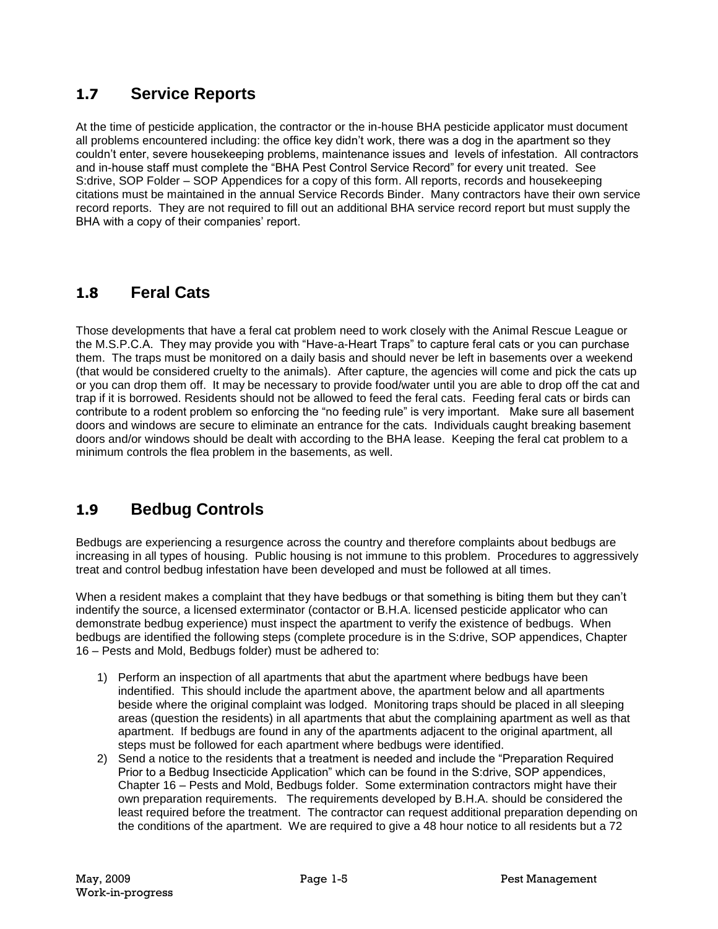### **1.7 Service Reports**

At the time of pesticide application, the contractor or the in-house BHA pesticide applicator must document all problems encountered including: the office key didn't work, there was a dog in the apartment so they couldn't enter, severe housekeeping problems, maintenance issues and levels of infestation. All contractors and in-house staff must complete the "BHA Pest Control Service Record" for every unit treated. See S:drive, SOP Folder – SOP Appendices for a copy of this form. All reports, records and housekeeping citations must be maintained in the annual Service Records Binder. Many contractors have their own service record reports. They are not required to fill out an additional BHA service record report but must supply the BHA with a copy of their companies' report.

### **1.8 Feral Cats**

Those developments that have a feral cat problem need to work closely with the Animal Rescue League or the M.S.P.C.A. They may provide you with "Have-a-Heart Traps" to capture feral cats or you can purchase them. The traps must be monitored on a daily basis and should never be left in basements over a weekend (that would be considered cruelty to the animals). After capture, the agencies will come and pick the cats up or you can drop them off. It may be necessary to provide food/water until you are able to drop off the cat and trap if it is borrowed. Residents should not be allowed to feed the feral cats. Feeding feral cats or birds can contribute to a rodent problem so enforcing the "no feeding rule" is very important. Make sure all basement doors and windows are secure to eliminate an entrance for the cats. Individuals caught breaking basement doors and/or windows should be dealt with according to the BHA lease. Keeping the feral cat problem to a minimum controls the flea problem in the basements, as well.

### **1.9 Bedbug Controls**

Bedbugs are experiencing a resurgence across the country and therefore complaints about bedbugs are increasing in all types of housing. Public housing is not immune to this problem. Procedures to aggressively treat and control bedbug infestation have been developed and must be followed at all times.

When a resident makes a complaint that they have bedbugs or that something is biting them but they can't indentify the source, a licensed exterminator (contactor or B.H.A. licensed pesticide applicator who can demonstrate bedbug experience) must inspect the apartment to verify the existence of bedbugs. When bedbugs are identified the following steps (complete procedure is in the S:drive, SOP appendices, Chapter 16 – Pests and Mold, Bedbugs folder) must be adhered to:

- 1) Perform an inspection of all apartments that abut the apartment where bedbugs have been indentified. This should include the apartment above, the apartment below and all apartments beside where the original complaint was lodged. Monitoring traps should be placed in all sleeping areas (question the residents) in all apartments that abut the complaining apartment as well as that apartment. If bedbugs are found in any of the apartments adjacent to the original apartment, all steps must be followed for each apartment where bedbugs were identified.
- 2) Send a notice to the residents that a treatment is needed and include the "Preparation Required Prior to a Bedbug Insecticide Application" which can be found in the S:drive, SOP appendices, Chapter 16 – Pests and Mold, Bedbugs folder. Some extermination contractors might have their own preparation requirements. The requirements developed by B.H.A. should be considered the least required before the treatment. The contractor can request additional preparation depending on the conditions of the apartment. We are required to give a 48 hour notice to all residents but a 72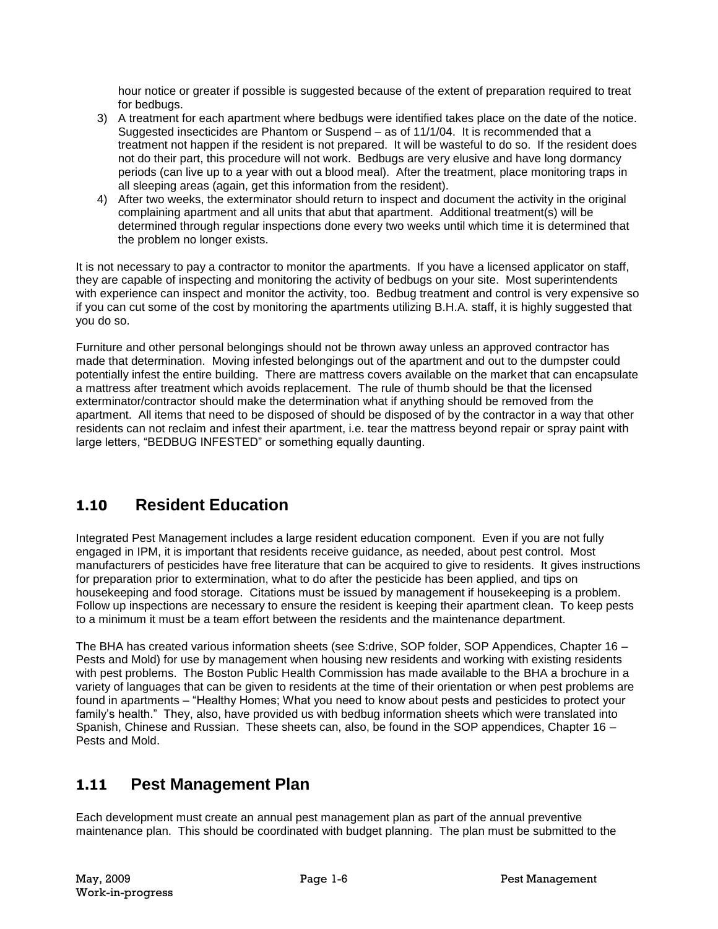hour notice or greater if possible is suggested because of the extent of preparation required to treat for bedbugs.

- 3) A treatment for each apartment where bedbugs were identified takes place on the date of the notice. Suggested insecticides are Phantom or Suspend – as of 11/1/04. It is recommended that a treatment not happen if the resident is not prepared. It will be wasteful to do so. If the resident does not do their part, this procedure will not work. Bedbugs are very elusive and have long dormancy periods (can live up to a year with out a blood meal). After the treatment, place monitoring traps in all sleeping areas (again, get this information from the resident).
- 4) After two weeks, the exterminator should return to inspect and document the activity in the original complaining apartment and all units that abut that apartment. Additional treatment(s) will be determined through regular inspections done every two weeks until which time it is determined that the problem no longer exists.

It is not necessary to pay a contractor to monitor the apartments. If you have a licensed applicator on staff, they are capable of inspecting and monitoring the activity of bedbugs on your site. Most superintendents with experience can inspect and monitor the activity, too. Bedbug treatment and control is very expensive so if you can cut some of the cost by monitoring the apartments utilizing B.H.A. staff, it is highly suggested that you do so.

Furniture and other personal belongings should not be thrown away unless an approved contractor has made that determination. Moving infested belongings out of the apartment and out to the dumpster could potentially infest the entire building. There are mattress covers available on the market that can encapsulate a mattress after treatment which avoids replacement. The rule of thumb should be that the licensed exterminator/contractor should make the determination what if anything should be removed from the apartment. All items that need to be disposed of should be disposed of by the contractor in a way that other residents can not reclaim and infest their apartment, i.e. tear the mattress beyond repair or spray paint with large letters, "BEDBUG INFESTED" or something equally daunting.

### **1.10 Resident Education**

Integrated Pest Management includes a large resident education component. Even if you are not fully engaged in IPM, it is important that residents receive guidance, as needed, about pest control. Most manufacturers of pesticides have free literature that can be acquired to give to residents. It gives instructions for preparation prior to extermination, what to do after the pesticide has been applied, and tips on housekeeping and food storage. Citations must be issued by management if housekeeping is a problem. Follow up inspections are necessary to ensure the resident is keeping their apartment clean. To keep pests to a minimum it must be a team effort between the residents and the maintenance department.

The BHA has created various information sheets (see S:drive, SOP folder, SOP Appendices, Chapter 16 – Pests and Mold) for use by management when housing new residents and working with existing residents with pest problems. The Boston Public Health Commission has made available to the BHA a brochure in a variety of languages that can be given to residents at the time of their orientation or when pest problems are found in apartments – "Healthy Homes; What you need to know about pests and pesticides to protect your family's health." They, also, have provided us with bedbug information sheets which were translated into Spanish, Chinese and Russian. These sheets can, also, be found in the SOP appendices, Chapter 16 – Pests and Mold.

### **1.11 Pest Management Plan**

Each development must create an annual pest management plan as part of the annual preventive maintenance plan. This should be coordinated with budget planning. The plan must be submitted to the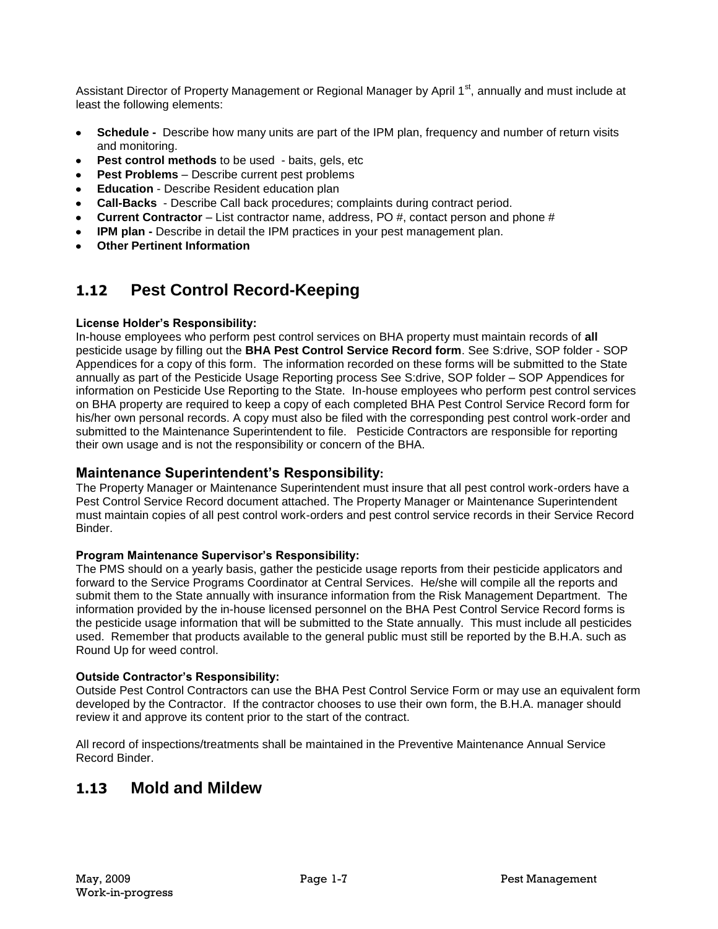Assistant Director of Property Management or Regional Manager by April 1<sup>st</sup>, annually and must include at least the following elements:

- **Schedule -** Describe how many units are part of the IPM plan, frequency and number of return visits  $\bullet$ and monitoring.
- **Pest control methods** to be used baits, gels, etc  $\bullet$
- **Pest Problems** Describe current pest problems
- **Education** Describe Resident education plan
- **Call-Backs** Describe Call back procedures; complaints during contract period.
- **Current Contractor** List contractor name, address, PO #, contact person and phone #
- **IPM plan -** Describe in detail the IPM practices in your pest management plan.
- **Other Pertinent Information**

### **1.12 Pest Control Record-Keeping**

#### **License Holder's Responsibility:**

In-house employees who perform pest control services on BHA property must maintain records of **all**  pesticide usage by filling out the **BHA Pest Control Service Record form**. See S:drive, SOP folder - SOP Appendices for a copy of this form. The information recorded on these forms will be submitted to the State annually as part of the Pesticide Usage Reporting process See S:drive, SOP folder – SOP Appendices for information on Pesticide Use Reporting to the State. In-house employees who perform pest control services on BHA property are required to keep a copy of each completed BHA Pest Control Service Record form for his/her own personal records. A copy must also be filed with the corresponding pest control work-order and submitted to the Maintenance Superintendent to file. Pesticide Contractors are responsible for reporting their own usage and is not the responsibility or concern of the BHA.

#### **Maintenance Superintendent's Responsibility:**

The Property Manager or Maintenance Superintendent must insure that all pest control work-orders have a Pest Control Service Record document attached. The Property Manager or Maintenance Superintendent must maintain copies of all pest control work-orders and pest control service records in their Service Record **Binder** 

#### **Program Maintenance Supervisor's Responsibility:**

The PMS should on a yearly basis, gather the pesticide usage reports from their pesticide applicators and forward to the Service Programs Coordinator at Central Services. He/she will compile all the reports and submit them to the State annually with insurance information from the Risk Management Department. The information provided by the in-house licensed personnel on the BHA Pest Control Service Record forms is the pesticide usage information that will be submitted to the State annually. This must include all pesticides used. Remember that products available to the general public must still be reported by the B.H.A. such as Round Up for weed control.

#### **Outside Contractor's Responsibility:**

Outside Pest Control Contractors can use the BHA Pest Control Service Form or may use an equivalent form developed by the Contractor. If the contractor chooses to use their own form, the B.H.A. manager should review it and approve its content prior to the start of the contract.

All record of inspections/treatments shall be maintained in the Preventive Maintenance Annual Service Record Binder.

### **1.13 Mold and Mildew**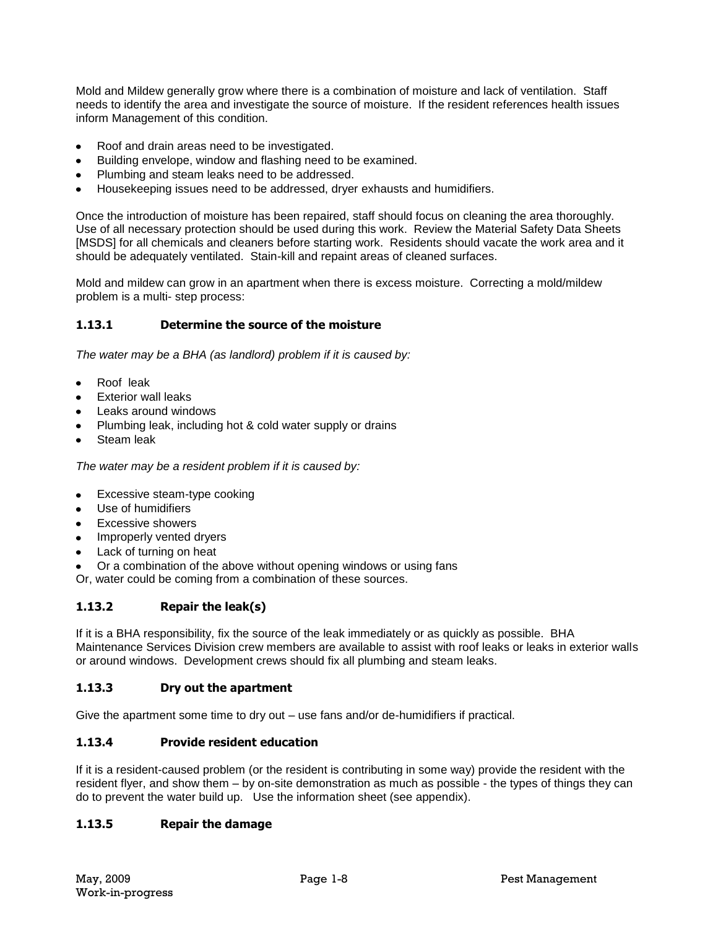Mold and Mildew generally grow where there is a combination of moisture and lack of ventilation. Staff needs to identify the area and investigate the source of moisture. If the resident references health issues inform Management of this condition.

- $\bullet$ Roof and drain areas need to be investigated.
- Building envelope, window and flashing need to be examined.  $\bullet$
- Plumbing and steam leaks need to be addressed.  $\bullet$
- Housekeeping issues need to be addressed, dryer exhausts and humidifiers.

Once the introduction of moisture has been repaired, staff should focus on cleaning the area thoroughly. Use of all necessary protection should be used during this work. Review the Material Safety Data Sheets [MSDS] for all chemicals and cleaners before starting work. Residents should vacate the work area and it should be adequately ventilated. Stain-kill and repaint areas of cleaned surfaces.

Mold and mildew can grow in an apartment when there is excess moisture. Correcting a mold/mildew problem is a multi- step process:

#### **1.13.1 Determine the source of the moisture**

*The water may be a BHA (as landlord) problem if it is caused by:*

- Roof leak  $\bullet$
- Exterior wall leaks
- Leaks around windows
- Plumbing leak, including hot & cold water supply or drains
- Steam leak

*The water may be a resident problem if it is caused by:*

- Excessive steam-type cooking
- Use of humidifiers
- Excessive showers
- Improperly vented dryers
- Lack of turning on heat
- Or a combination of the above without opening windows or using fans

Or, water could be coming from a combination of these sources.

#### **1.13.2 Repair the leak(s)**

If it is a BHA responsibility, fix the source of the leak immediately or as quickly as possible. BHA Maintenance Services Division crew members are available to assist with roof leaks or leaks in exterior walls or around windows. Development crews should fix all plumbing and steam leaks.

#### **1.13.3 Dry out the apartment**

Give the apartment some time to dry out – use fans and/or de-humidifiers if practical.

#### **1.13.4 Provide resident education**

If it is a resident-caused problem (or the resident is contributing in some way) provide the resident with the resident flyer, and show them – by on-site demonstration as much as possible - the types of things they can do to prevent the water build up. Use the information sheet (see appendix).

#### **1.13.5 Repair the damage**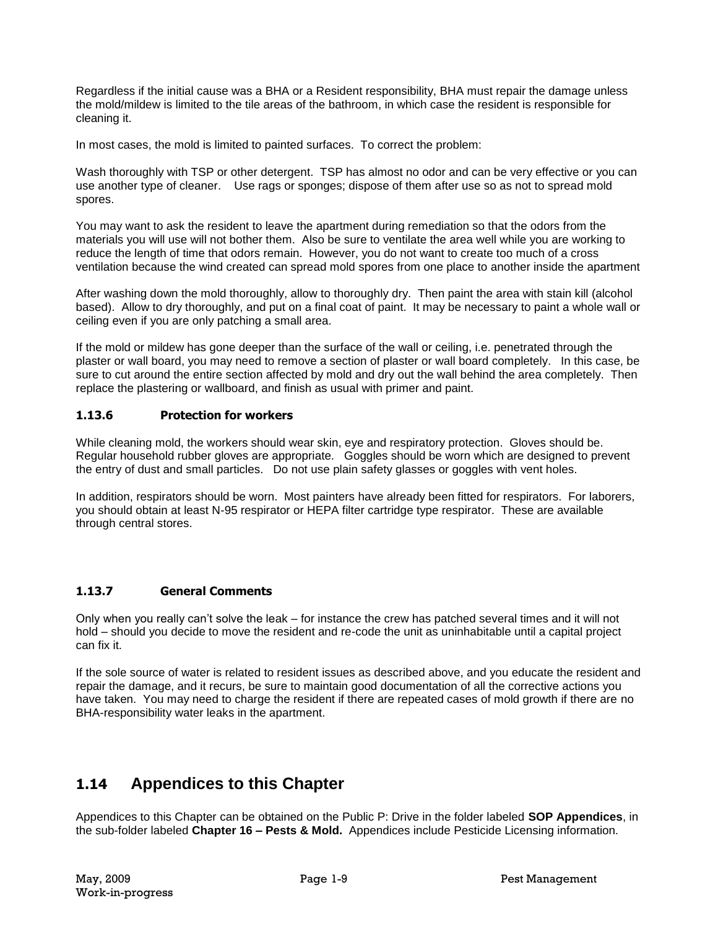Regardless if the initial cause was a BHA or a Resident responsibility, BHA must repair the damage unless the mold/mildew is limited to the tile areas of the bathroom, in which case the resident is responsible for cleaning it.

In most cases, the mold is limited to painted surfaces. To correct the problem:

Wash thoroughly with TSP or other detergent. TSP has almost no odor and can be very effective or you can use another type of cleaner. Use rags or sponges; dispose of them after use so as not to spread mold spores.

You may want to ask the resident to leave the apartment during remediation so that the odors from the materials you will use will not bother them. Also be sure to ventilate the area well while you are working to reduce the length of time that odors remain. However, you do not want to create too much of a cross ventilation because the wind created can spread mold spores from one place to another inside the apartment

After washing down the mold thoroughly, allow to thoroughly dry. Then paint the area with stain kill (alcohol based). Allow to dry thoroughly, and put on a final coat of paint. It may be necessary to paint a whole wall or ceiling even if you are only patching a small area.

If the mold or mildew has gone deeper than the surface of the wall or ceiling, i.e. penetrated through the plaster or wall board, you may need to remove a section of plaster or wall board completely. In this case, be sure to cut around the entire section affected by mold and dry out the wall behind the area completely. Then replace the plastering or wallboard, and finish as usual with primer and paint.

#### **1.13.6 Protection for workers**

While cleaning mold, the workers should wear skin, eye and respiratory protection. Gloves should be. Regular household rubber gloves are appropriate. Goggles should be worn which are designed to prevent the entry of dust and small particles. Do not use plain safety glasses or goggles with vent holes.

In addition, respirators should be worn. Most painters have already been fitted for respirators. For laborers, you should obtain at least N-95 respirator or HEPA filter cartridge type respirator. These are available through central stores.

#### **1.13.7 General Comments**

Only when you really can't solve the leak – for instance the crew has patched several times and it will not hold – should you decide to move the resident and re-code the unit as uninhabitable until a capital project can fix it.

If the sole source of water is related to resident issues as described above, and you educate the resident and repair the damage, and it recurs, be sure to maintain good documentation of all the corrective actions you have taken. You may need to charge the resident if there are repeated cases of mold growth if there are no BHA-responsibility water leaks in the apartment.

### **1.14 Appendices to this Chapter**

Appendices to this Chapter can be obtained on the Public P: Drive in the folder labeled **SOP Appendices**, in the sub-folder labeled **Chapter 16 – Pests & Mold.** Appendices include Pesticide Licensing information.